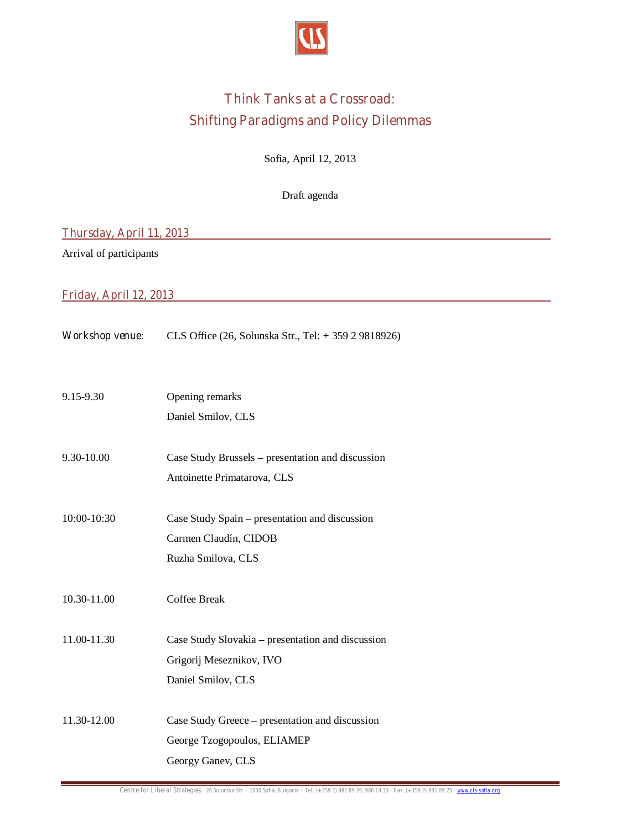

## **Think Tanks at a Crossroad: Shifting Paradigms and Policy Dilemmas**

Sofia, April 12, 2013

Draft agenda

## **Thursday, April 11, 2013**

Arrival of participants

## **Friday, April 12, 2013**

| <b>Workshop venue:</b> | CLS Office $(26,$ Solunska Str., Tel: $+35929818926$ ) |
|------------------------|--------------------------------------------------------|
|------------------------|--------------------------------------------------------|

- 9.15-9.30 Opening remarks
	- Daniel Smilov, CLS
- 9.30-10.00 Case Study Brussels presentation and discussion Antoinette Primatarova, CLS
- 10:00-10:30 Case Study Spain presentation and discussion Carmen Claudín, CIDOB Ruzha Smilova, CLS
- 10.30-11.00 Coffee Break
- 11.00-11.30 Case Study Slovakia presentation and discussion Grigorij Meseznikov, IVO Daniel Smilov, CLS
- 11.30-12.00 Case Study Greece presentation and discussion George Tzogopoulos, ELIAMEP Georgy Ganev, CLS